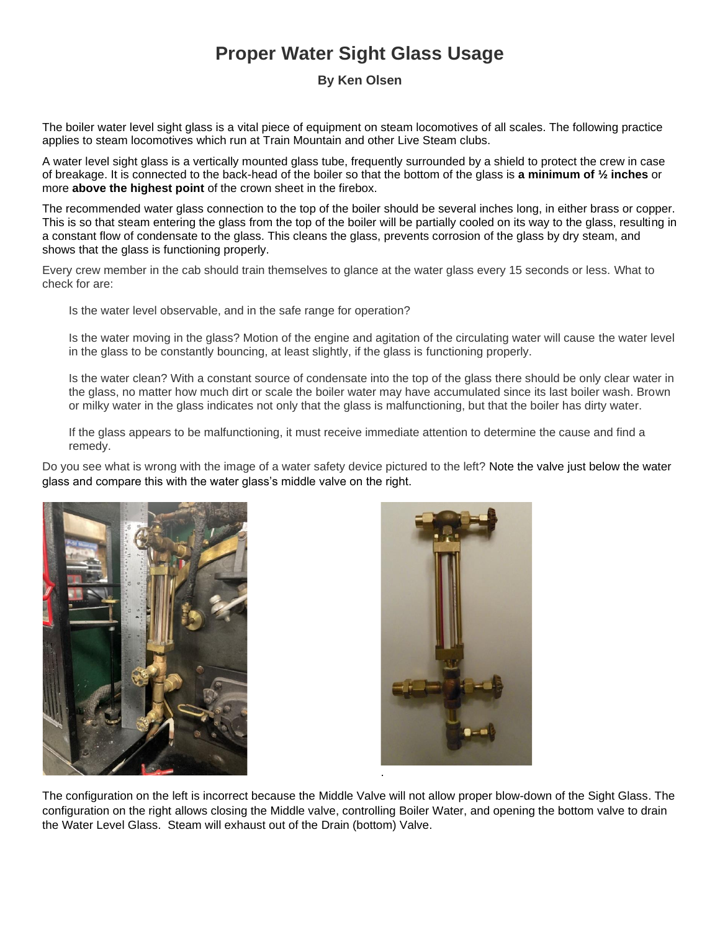## **Proper Water Sight Glass Usage**

## **By Ken Olsen**

The boiler water level sight glass is a vital piece of equipment on steam locomotives of all scales. The following practice applies to steam locomotives which run at Train Mountain and other Live Steam clubs.

A water level sight glass is a vertically mounted glass tube, frequently surrounded by a shield to protect the crew in case of breakage. It is connected to the back-head of the boiler so that the bottom of the glass is **a minimum of ½ inches** or more **above the highest point** of the crown sheet in the firebox.

The recommended water glass connection to the top of the boiler should be several inches long, in either brass or copper. This is so that steam entering the glass from the top of the boiler will be partially cooled on its way to the glass, resulting in a constant flow of condensate to the glass. This cleans the glass, prevents corrosion of the glass by dry steam, and shows that the glass is functioning properly.

Every crew member in the cab should train themselves to glance at the water glass every 15 seconds or less. What to check for are:

Is the water level observable, and in the safe range for operation?

Is the water moving in the glass? Motion of the engine and agitation of the circulating water will cause the water level in the glass to be constantly bouncing, at least slightly, if the glass is functioning properly.

Is the water clean? With a constant source of condensate into the top of the glass there should be only clear water in the glass, no matter how much dirt or scale the boiler water may have accumulated since its last boiler wash. Brown or milky water in the glass indicates not only that the glass is malfunctioning, but that the boiler has dirty water.

If the glass appears to be malfunctioning, it must receive immediate attention to determine the cause and find a remedy.

Do you see what is wrong with the image of a water safety device pictured to the left? Note the valve just below the water glass and compare this with the water glass's middle valve on the right.





The configuration on the left is incorrect because the Middle Valve will not allow proper blow-down of the Sight Glass. The configuration on the right allows closing the Middle valve, controlling Boiler Water, and opening the bottom valve to drain the Water Level Glass. Steam will exhaust out of the Drain (bottom) Valve.